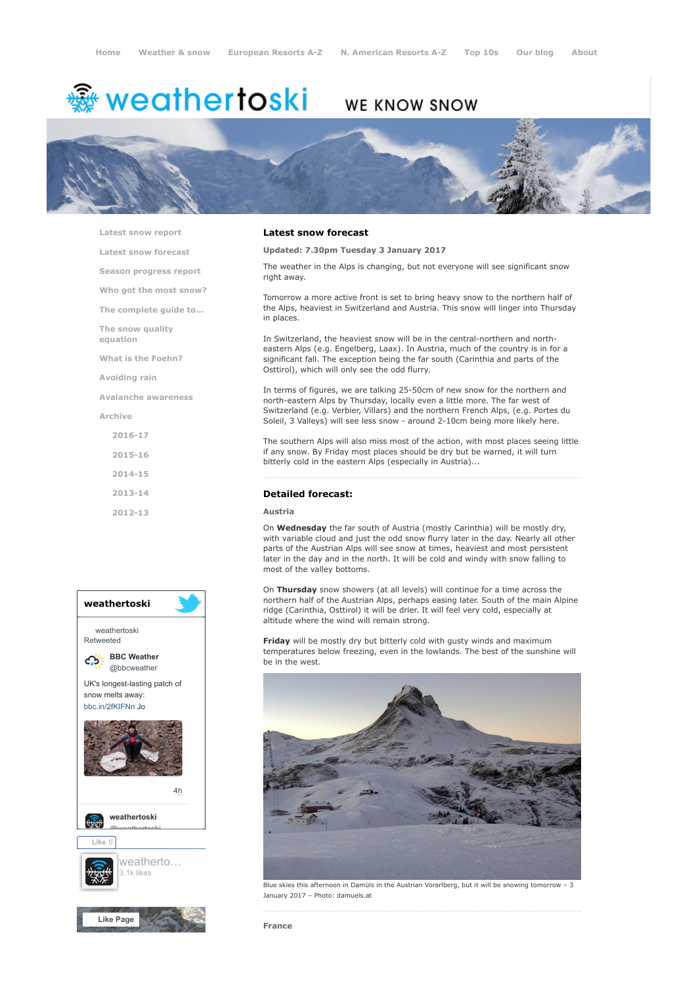# ∰ weathertoski

# **WE KNOW SNOW**



[Latest snow report](https://www.weathertoski.co.uk/weather-snow/latest-snow-report/)

[Latest snow forecast](https://www.weathertoski.co.uk/weather-snow/latest-snow-forecast/)

[Season progress report](https://www.weathertoski.co.uk/weather-snow/season-progress-report/)

[Who got the most snow?](https://www.weathertoski.co.uk/weather-snow/who-got-the-most-snow/)

[The complete guide to...](https://www.weathertoski.co.uk/weather-snow/the-complete-guide-to/)

[The snow quality](https://www.weathertoski.co.uk/weather-snow/the-snow-quality-equation/)

[What is the Foehn?](https://www.weathertoski.co.uk/weather-snow/what-is-the-foehn/)

[Avoiding rain](https://www.weathertoski.co.uk/weather-snow/avoiding-rain/)

equation

[Avalanche awareness](https://www.weathertoski.co.uk/weather-snow/avalanche-awareness/)

[Archive](https://www.weathertoski.co.uk/weather-snow/archive/)

- [2016-17](https://www.weathertoski.co.uk/weather-snow/archive/2016-17/) [2015-16](https://www.weathertoski.co.uk/weather-snow/archive/2015-16/)
- [2014-15](https://www.weathertoski.co.uk/weather-snow/archive/2014-15/)
- 
- [2013-14](https://www.weathertoski.co.uk/weather-snow/archive/2013-14/)
- [2012-13](https://www.weathertoski.co.uk/weather-snow/archive/2012-13/)



#### Latest snow forecast

Updated: 7.30pm Tuesday 3 January 2017

The weather in the Alps is changing, but not everyone will see significant snow right away.

Tomorrow a more active front is set to bring heavy snow to the northern half of the Alps, heaviest in Switzerland and Austria. This snow will linger into Thursday in places.

In Switzerland, the heaviest snow will be in the central-northern and northeastern Alps (e.g. Engelberg, Laax). In Austria, much of the country is in for a significant fall. The exception being the far south (Carinthia and parts of the Osttirol), which will only see the odd flurry.

In terms of figures, we are talking 25-50cm of new snow for the northern and north-eastern Alps by Thursday, locally even a little more. The far west of Switzerland (e.g. Verbier, Villars) and the northern French Alps, (e.g. Portes du Soleil, 3 Valleys) will see less snow - around 2-10cm being more likely here.

The southern Alps will also miss most of the action, with most places seeing little if any snow. By Friday most places should be dry but be warned, it will turn bitterly cold in the eastern Alps (especially in Austria)...

### Detailed forecast:

# Austria

On Wednesday the far south of Austria (mostly Carinthia) will be mostly dry, with variable cloud and just the odd snow flurry later in the day. Nearly all other parts of the Austrian Alps will see snow at times, heaviest and most persistent later in the day and in the north. It will be cold and windy with snow falling to most of the valley bottoms.

On Thursday snow showers (at all levels) will continue for a time across the northern half of the Austrian Alps, perhaps easing later. South of the main Alpine ridge (Carinthia, Osttirol) it will be drier. It will feel very cold, especially at altitude where the wind will remain strong.

**Friday** will be mostly dry but bitterly cold with gusty winds and maximum temperatures below freezing, even in the lowlands. The best of the sunshine will be in the west.



Blue skies this afternoon in Damüls in the Austrian Vorarlberg, but it will be snowing tomorrow – 3 January 2017 – Photo: damuels.at

France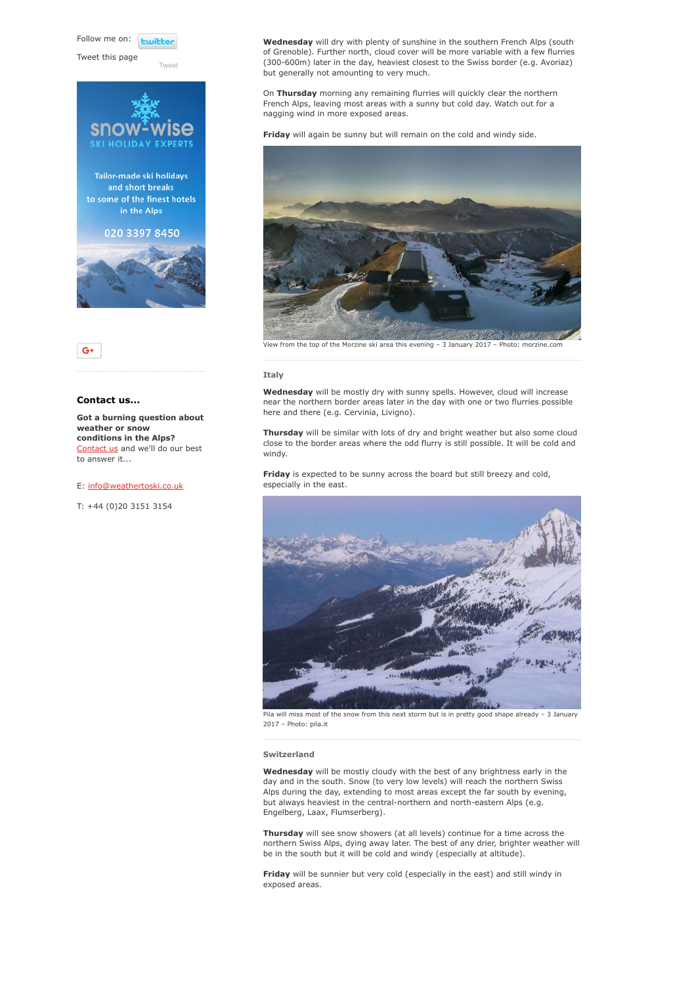Follow me on: **Luitt** 

Tweet this page

Tailor-made ski holidays and short breaks to some of the finest hotels in the Alps 020 3397 8450

[Tweet](https://twitter.com/intent/tweet?original_referer=https%3A%2F%2Fwww.weathertoski.co.uk%2Fweather-snow%2Farchive%2Fsnow-forecast-03-01-2017%2F&ref_src=twsrc%5Etfw&text=Weather%20to%20ski%20-%20Snow%20forecast%20-%203%20January%202017&tw_p=tweetbutton&url=https%3A%2F%2Fwww.weathertoski.co.uk%2Fweather-snow%2Farchive%2Fsnow-forecast-03-01-2017%2F)





# Contact us...

Got a burning question about weather or snow conditions in the Alps? [Contact us](https://www.weathertoski.co.uk/about-1/contact-us/) and we'll do our best to answer it...

#### E: [info@weathertoski.co.uk](mailto:fraser@weathertoski.co.uk)

T: +44 (0)20 3151 3154

Wednesday will dry with plenty of sunshine in the southern French Alps (south of Grenoble). Further north, cloud cover will be more variable with a few flurries (300-600m) later in the day, heaviest closest to the Swiss border (e.g. Avoriaz) but generally not amounting to very much.

On Thursday morning any remaining flurries will quickly clear the northern French Alps, leaving most areas with a sunny but cold day. Watch out for a nagging wind in more exposed areas.

Friday will again be sunny but will remain on the cold and windy side.



#### Italy

Wednesday will be mostly dry with sunny spells. However, cloud will increase near the northern border areas later in the day with one or two flurries possible here and there (e.g. Cervinia, Livigno).

Thursday will be similar with lots of dry and bright weather but also some cloud close to the border areas where the odd flurry is still possible. It will be cold and windy.

Friday is expected to be sunny across the board but still breezy and cold, especially in the east.



Pila will miss most of the snow from this next storm but is in pretty good shape already – 3 January 2017 – Photo: pila.it

#### Switzerland

Wednesday will be mostly cloudy with the best of any brightness early in the day and in the south. Snow (to very low levels) will reach the northern Swiss Alps during the day, extending to most areas except the far south by evening, but always heaviest in the central-northern and north-eastern Alps (e.g. Engelberg, Laax, Flumserberg).

Thursday will see snow showers (at all levels) continue for a time across the northern Swiss Alps, dying away later. The best of any drier, brighter weather will be in the south but it will be cold and windy (especially at altitude).

Friday will be sunnier but very cold (especially in the east) and still windy in exposed areas.